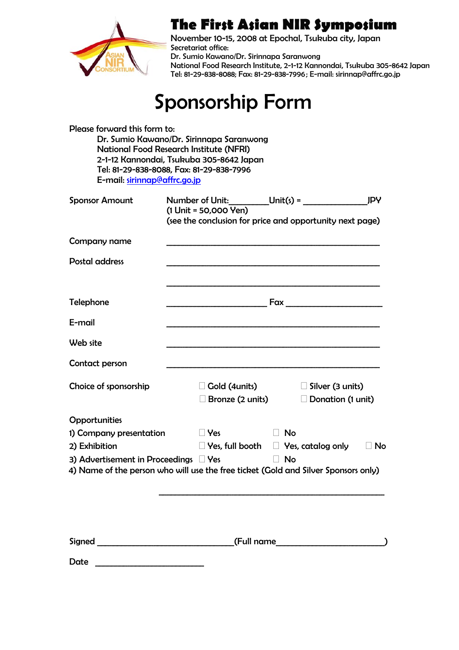

## **The First Asian NIR Symposium**

November 10-15, 2008 at Epochal, Tsukuba city, Japan Secretariat office: Dr. Sumio Kawano/Dr. Sirinnapa Saranwong National Food Research Institute, 2-1-12 Kannondai, Tsukuba 305-8642 Japan Tel: 81-29-838-8088; Fax: 81-29-838-7996 ; E-mail: sirinnap@affrc.go.jp

## Sponsorship Form

| Please forward this form to:<br>E-mail: sirinnap@affrc.go.jp | Dr. Sumio Kawano/Dr. Sirinnapa Saranwong<br><b>National Food Research Institute (NFRI)</b><br>2-1-12 Kannondai, Tsukuba 305-8642 Japan<br>Tel: 81-29-838-8088, Fax: 81-29-838-7996 |                                                                                                 |
|--------------------------------------------------------------|------------------------------------------------------------------------------------------------------------------------------------------------------------------------------------|-------------------------------------------------------------------------------------------------|
| <b>Sponsor Amount</b>                                        | Number of Unit: $\underline{\qquad \qquad}$ Unit(s) =<br>$(1$ Unit = 50,000 Yen)                                                                                                   | <b>JPY</b><br>(see the conclusion for price and opportunity next page)                          |
| Company name                                                 |                                                                                                                                                                                    |                                                                                                 |
| <b>Postal address</b>                                        |                                                                                                                                                                                    |                                                                                                 |
| <b>Telephone</b>                                             |                                                                                                                                                                                    |                                                                                                 |
| E-mail                                                       |                                                                                                                                                                                    |                                                                                                 |
| Web site                                                     |                                                                                                                                                                                    |                                                                                                 |
| Contact person                                               |                                                                                                                                                                                    |                                                                                                 |
| Choice of sponsorship                                        | $\square$ Gold (4units)<br>$\square$ Bronze (2 units)                                                                                                                              | $\Box$ Silver (3 units)<br>$\Box$ Donation (1 unit)                                             |
| <b>Opportunities</b>                                         |                                                                                                                                                                                    |                                                                                                 |
| 1) Company presentation                                      | $\Box$ Yes                                                                                                                                                                         | No                                                                                              |
| 2) Exhibition                                                |                                                                                                                                                                                    | $\Box$ Yes, full booth $\Box$ Yes, catalog only<br>$\Box$ No                                    |
| 3) Advertisement in Proceedings $\Box$ Yes                   |                                                                                                                                                                                    | $\Box$ No<br>4) Name of the person who will use the free ticket (Gold and Silver Sponsors only) |
|                                                              |                                                                                                                                                                                    |                                                                                                 |
|                                                              |                                                                                                                                                                                    |                                                                                                 |
| Date                                                         |                                                                                                                                                                                    |                                                                                                 |